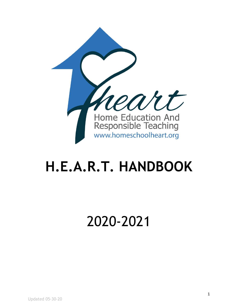

# **H.E.A.R.T. HANDBOOK**

# 2020-2021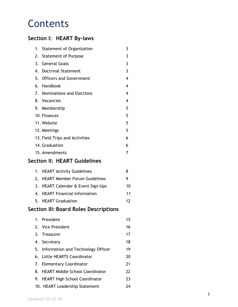## **Contents**

## **Section I: HEART By-laws**

|                                       | 1. | <b>Statement of Organization</b>       | 3                       |  |  |  |  |
|---------------------------------------|----|----------------------------------------|-------------------------|--|--|--|--|
|                                       | 2. | <b>Statement of Purpose</b>            | 3                       |  |  |  |  |
|                                       |    | 3. General Goals                       | 3                       |  |  |  |  |
|                                       |    | 4. Doctrinal Statement                 | $\overline{3}$          |  |  |  |  |
|                                       |    | 5. Officers and Government             | $\overline{\mathbf{4}}$ |  |  |  |  |
|                                       |    | 6. Handbook                            | $\overline{\mathbf{4}}$ |  |  |  |  |
|                                       |    | 7. Nominations and Elections           | $\overline{\mathbf{4}}$ |  |  |  |  |
|                                       |    | 8. Vacancies                           | 4                       |  |  |  |  |
|                                       |    | 9. Membership                          | 5                       |  |  |  |  |
|                                       |    | 10. Finances                           | 5                       |  |  |  |  |
|                                       |    | 11. Website                            | 5                       |  |  |  |  |
|                                       |    | 12. Meetings                           | 5                       |  |  |  |  |
|                                       |    | 13. Field Trips and Activities         | 6                       |  |  |  |  |
|                                       |    | 14. Graduation                         | 6                       |  |  |  |  |
|                                       |    | 15. Amendments                         | 7                       |  |  |  |  |
|                                       |    | Section II: HEART Guidelines           |                         |  |  |  |  |
|                                       | 1. | <b>HEART Activity Guidelines</b>       | 8                       |  |  |  |  |
|                                       |    | 2. HEART Member Forum Guidelines       | 9                       |  |  |  |  |
|                                       |    | 3. HEART Calendar & Event Sign-Ups     | 10                      |  |  |  |  |
|                                       |    | 4. HEART Financial Information         | 11                      |  |  |  |  |
|                                       |    | 5. HEART Graduation                    | 12                      |  |  |  |  |
| Section III: Board Roles Descriptions |    |                                        |                         |  |  |  |  |
|                                       |    | 1. President                           | 15                      |  |  |  |  |
|                                       | 2. | <b>Vice President</b>                  | 16                      |  |  |  |  |
|                                       | 3. | <b>Treasurer</b>                       | 17                      |  |  |  |  |
|                                       |    | 4. Secretary                           | 18                      |  |  |  |  |
|                                       | 5. | Information and Technology Officer     | 19                      |  |  |  |  |
|                                       | 6. | <b>Little HEARTS Coordinator</b>       | 20                      |  |  |  |  |
|                                       | 7. | <b>Elementary Coordinator</b>          | 21                      |  |  |  |  |
|                                       | 8. | <b>HEART Middle School Coordinator</b> | 22                      |  |  |  |  |
|                                       | 9. | <b>HEART High School Coordinator</b>   | 23                      |  |  |  |  |
|                                       |    | 10. HEART Leadership Statement         | 24                      |  |  |  |  |
|                                       |    |                                        |                         |  |  |  |  |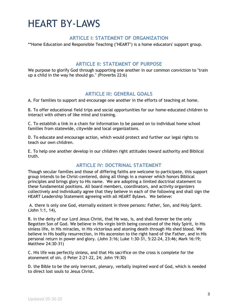## HEART BY-LAWS

#### **ARTICLE I: STATEMENT OF ORGANIZATION**

\*\*Home Education and Responsible Teaching ("HEART") is a home educators' support group.

#### **ARTICLE II: STATEMENT OF PURPOSE**

We purpose to glorify God through supporting one another in our common conviction to "train up a child in the way he should go." (Proverbs 22:6)

#### **ARTICLE III: GENERAL GOALS**

A. For families to support and encourage one another in the efforts of teaching at home.

B. To offer educational field trips and social opportunities for our home-educated children to interact with others of like mind and training.

C. To establish a link in a chain for information to be passed on to individual home school families from statewide, citywide and local organizations.

D. To educate and encourage action, which would protect and further our legal rights to teach our own children.

E. To help one another develop in our children right attitudes toward authority and Biblical truth.

#### **ARTICLE IV: DOCTRINAL STATEMENT**

Though secular families and those of differing faiths are welcome to participate, this support group intends to be Christ-centered, doing all things in a manner which honors Biblical principles and brings glory to His name. We are adopting a limited doctrinal statement to these fundamental positions. All board members, coordinators, and activity organizers collectively and individually agree that they believe in each of the following and shall sign the HEART Leadership Statement agreeing with all HEART Bylaws. We believe:

A. there is only one God, eternally existent in three persons: Father, Son, and Holy Spirit. (John 1:1, 14),

B. in the deity of our Lord Jesus Christ, that He was, is, and shall forever be the only Begotten Son of God. We believe in His virgin birth being conceived of the Holy Spirit, in His sinless life, in His miracles, in His victorious and atoning death through His shed blood. We believe in His bodily resurrection, in His ascension to the right hand of the Father, and in His personal return in power and glory. (John 3:16; Luke 1:30-31, 5:22-24, 23:46; Mark 16:19; Matthew 24:30-31)

C. His life was perfectly sinless, and that His sacrifice on the cross is complete for the atonement of sin. (I Peter 2:21-22, 24; John 19:30)

D. the Bible to be the only inerrant, plenary, verbally inspired word of God, which is needed to direct lost souls to Jesus Christ.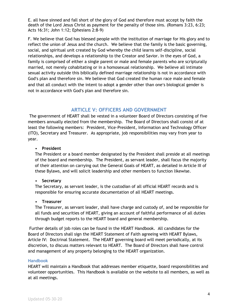E. all have sinned and fall short of the glory of God and therefore must accept by faith the death of the Lord Jesus Christ as payment for the penalty of those sins. (Romans 3:23, 6:23; Acts 16:31; John 1:12; Ephesians 2:8-9)

F. We believe that God has blessed people with the institution of marriage for His glory and to reflect the union of Jesus and the church. We believe that the family is the basic governing, social, and spiritual unit created by God whereby the child learns self-discipline, social relationships, and develops a relationship to the Creator and Savior. In the eyes of God, a family is comprised of either a single parent or male and female parents who are scripturally married, not merely cohabitating or in a homosexual relationship. We believe all intimate sexual activity outside this biblically defined marriage relationship is not in accordance with God's plan and therefore sin. We believe that God created the human race male and female and that all conduct with the intent to adopt a gender other than one's biological gender is not in accordance with God's plan and therefore sin.

#### **ARTICLE V: OFFICERS AND GOVERNMENT**

The government of HEART shall be vested in a volunteer Board of Directors consisting of five members annually elected from the membership. The Board of Directors shall consist of at least the following members: President, Vice-President, Information and Technology Officer (ITO), Secretary and Treasurer. As appropriate, job responsibilities may vary from year to year.

#### • **President**

The President or a board member designated by the President shall preside at all meetings of the board and membership. The President, as servant leader, shall focus the majority of their attention on carrying out the General Goals of HEART, as detailed in Article III of these Bylaws, and will solicit leadership and other members to function likewise.

#### • **Secretary**

The Secretary, as servant leader, is the custodian of all official HEART records and is responsible for ensuring accurate documentation of all HEART meetings.

#### • **Treasurer**

The Treasurer, as servant leader, shall have charge and custody of, and be responsible for all funds and securities of HEART, giving an account of faithful performance of all duties through budget reports to the HEART board and general membership.

Further details of job roles can be found in the HEART Handbook. All candidates for the Board of Directors shall sign the HEART Statement of Faith agreeing with HEART Bylaws, Article IV: Doctrinal Statement. The HEART governing board will meet periodically, at its discretion, to discuss matters relevant to HEART. The Board of Directors shall have control and management of any property belonging to the HEART organization.

#### **Handbook**

HEART will maintain a Handbook that addresses member etiquette, board responsibilities and volunteer opportunities. This Handbook is available on the website to all members, as well as at all meetings.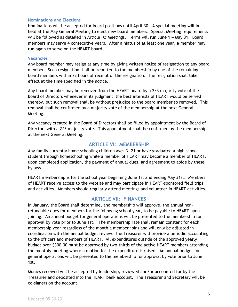#### **Nominations and Elections**

Nominations will be accepted for board positions until April 30. A special meeting will be held at the May General Meeting to elect new board members. Special Meeting requirements will be followed as detailed in Article IX: Meetings. Terms will run June 1 – May 31. Board members may serve 4 consecutive years. After a hiatus of at least one year, a member may run again to serve on the HEART board.

#### **Vacancies**

Any board member may resign at any time by giving written notice of resignation to any board member. Such resignation shall be reported to the membership by one of the remaining board members within 72 hours of receipt of the resignation. The resignation shall take effect at the time specified in the notice.

Any board member may be removed from the HEART board by a 2/3 majority vote of the Board of Directors whenever in its judgment the best interests of HEART would be served thereby, but such removal shall be without prejudice to the board member so removed. This removal shall be confirmed by a majority vote of the membership at the next General Meeting.

Any vacancy created in the Board of Directors shall be filled by appointment by the Board of Directors with a 2/3 majority vote. This appointment shall be confirmed by the membership at the next General Meeting.

#### **ARTICLE VI: MEMBERSHIP**

Any family currently home schooling children ages 3 -21 or have graduated a high school student through homeschooling while a member of HEART may become a member of HEART, upon completed application, the payment of annual dues, and agreement to abide by these bylaws.

HEART membership is for the school year beginning June 1st and ending May 31st. Members of HEART receive access to the website and may participate in HEART-sponsored field trips and activities. Members should regularly attend meetings and volunteer in HEART activities.

#### **ARTICLE VII: FINANCES**

In January, the Board shall determine, and membership will approve, the annual nonrefundable dues for members for the following school year, to be payable to HEART upon joining. An annual budget for general operations will be presented to the membership for approval by vote prior to June 1st. The membership rate shall remain constant for each membership year regardless of the month a member joins and will only be adjusted in coordination with the annual budget review. The Treasurer will provide a periodic accounting to the officers and members of HEART. All expenditures outside of the approved yearly budget over \$300.00 must be approved by two-thirds of the active HEART members attending the monthly meeting where a motion for the expenditure is raised. An annual budget for general operations will be presented to the membership for approval by vote prior to June 1st.

Monies received will be accepted by leadership, reviewed and/or accounted for by the Treasurer and deposited into the HEART bank account. The Treasurer and Secretary will be co-signers on the account.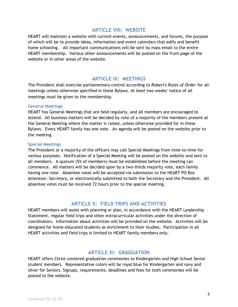#### **ARTICLE VIII: WEBSITE**

HEART will maintain a website with current events, announcements, and forums, the purpose of which will be to provide ideas, information and event calendars that edify and benefit home schooling. All important communications will be sent by mass email to the entire HEART membership. Various other announcements will be posted on the front page of the website or in other areas of the website.

#### **ARTICLE IX: MEETINGS**

The President shall exercise parliamentary control according to *Robert's Rules of Order* for all meetings unless otherwise specified in these Bylaws. At least two weeks' notice of all meetings must be given to the membership.

#### **General Meetings**

HEART has General Meetings that are held regularly, and all members are encouraged to attend. All business matters will be decided by vote of a majority of the members present at the General Meeting where the matter is raised, unless otherwise provided for in these Bylaws. Every HEART family has one vote. An agenda will be posted on the website prior to the meeting.

#### **Special Meetings**

The President or a majority of the officers may call Special Meetings from time-to-time for various purposes. Notification of a Special Meeting will be posted on the website and sent to all members. A quorum (5% of members) must be established before the meeting can commence. All matters will be decided upon by a two-thirds majority vote, each family having one vote. Absentee votes will be accepted via submission to the HEART PO Box Attention: Secretary, or electronically submitted to both the Secretary and the President. All absentee votes must be received 72 hours prior to the special meeting.

#### **ARTICLE X: FIELD TRIPS AND ACTIVITIES**

HEART members will assist with planning or plan, in accordance with the HEART Leadership Statement, regular field trips and other extracurricular activities under the direction of coordinators. Information about activities will be provided on the website. Activities will be designed for home-educated students as enrichment to their studies. Participation in all HEART activities and field trips is limited to HEART family members only.

#### **ARTICLE XI: GRADUATION**

HEART offers Christ-centered graduation ceremonies to Kindergarten and High School Senior student members. Representative colors will be royal blue for Kindergarten and navy and silver for Seniors. Signups, requirements, deadlines and fees for both ceremonies will be posted to the website.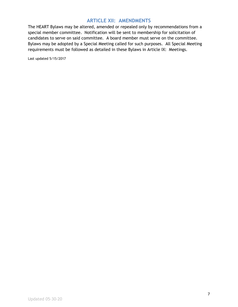#### **ARTICLE XII: AMENDMENTS**

The HEART Bylaws may be altered, amended or repealed only by recommendations from a special member committee. Notification will be sent to membership for solicitation of candidates to serve on said committee. A board member must serve on the committee. Bylaws may be adopted by a Special Meeting called for such purposes. All Special Meeting requirements must be followed as detailed in these Bylaws in Article IX: Meetings.

Last updated 5/15/2017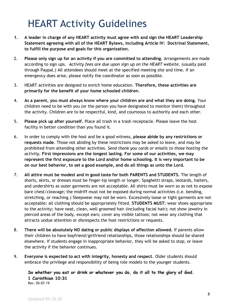## HEART Activity Guidelines

- **1. A leader in charge of any HEART activity must agree with and sign the HEART Leadership Statement agreeing with all of the HEART Bylaws, including Article IV: Doctrinal Statement, to fulfill the purpose and goals for this organization.**
- 2. **Please only sign up for an activity if you are committed to attending.** Arrangements are made according to sign ups. *Activity fees are due upon sign up on the HEART website*, (usually paid through Paypal.) All attendees should meet at the specified meeting site and time. If an emergency does arise, please notify the coordinator as soon as possible.
- 3. HEART activities are designed to enrich home education. **Therefore, these activities are primarily for the benefit of your home schooled children**.
- 4. **As a parent, you must always know where your children are and what they are doing.** Your children need to be with you (or the person you have designated to monitor them) throughout the activity. Children are to be respectful, kind, and courteous to authority and each other.
- 5. **Please pick up after yourself.** Place all trash in a trash receptacle. Please leave the host facility in better condition than you found it.
- 6. In order to comply with the host and be a good witness, **please abide by any restrictions or requests made**. Those not abiding by these restrictions may be asked to leave, and may be prohibited from attending other activities. *Send thank you cards or emails to those hosting the activity*. **First impressions are the longest lasting. For some of our activities, we may represent the first exposure to the Lord and/or home schooling. It is very important to be on our best behavior, to set a good example, and do all things as unto the Lord.**
- 7. **All attire must be modest and in good taste for both PARENTS and STUDENTS.** The length of shorts, skirts, or dresses must be finger-tip length or longer. Spaghetti straps, leotards, halters, and undershirts as outer garments are not acceptable. All shirts must be worn so as not to expose bare chest/cleavage; the midriff must not be exposed during normal activities (i.e. bending, stretching, or reaching.) Sleepwear may not be worn. Excessively loose or tight garments are not acceptable; all clothing should be appropriately fitted. **STUDENTS MUST**: wear shoes appropriate to the activity; have neat, clean, well groomed hair (including facial hair); not show jewelry in pierced areas of the body, except ears; cover any visible tattoos; not wear any clothing that attracts undue attention or disrespects the host restrictions or requests.
- 8. **There will be absolutely NO dating or public displays of affection allowed.** If parents allow their children to have boyfriend/girlfriend relationships, those relationships should be shared elsewhere. If students engage in inappropriate behavior, they will be asked to stop, or leave the activity if the behavior continues.
- 9. **Everyone is expected to act with integrity, honesty and respect**. Older students should embrace the privilege and responsibility of being role models to the younger students.

**So whether you eat or drink or whatever you do, do it all to the glory of God. 1 Corinthian 10:31** Rev. 05-07-19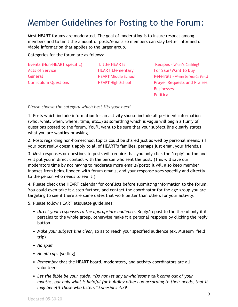## Member Guidelines for Posting to the Forum:

Most HEART forums are moderated. The goal of moderating is to insure respect among members and to limit the amount of posts/emails so members can stay better informed of viable information that applies to the larger group.

Categories for the forum are as follows:

Events (Non-HEART specific) Little HEARTs Recipes - What's Cooking? Acts of Service **Acts HEART Elementary** For Sale/Want to Buy

General **General HEART Middle School Referrals - Where Do You Go For...?** Curriculum Questions HEART High School Prayer Requests and Praises **Businesses Political** 

*Please choose the category which best fits your need.*

1. Posts which include information for an activity should include all pertinent information (who, what, when, where, time, etc…) as something which is vague will begin a flurry of questions posted to the forum. You'll want to be sure that your subject line clearly states what you are wanting or asking.

2. Posts regarding non-homeschool topics could be shared just as well by personal means. (If your post really doesn't apply to all of HEART's families, perhaps just email your friends.)

3. Most responses or questions to posts will require that you only click the 'reply' button and will put you in direct contact with the person who sent the post. (This will save our moderators time by not having to moderate more emails/posts; it will also keep member inboxes from being flooded with forum emails, and your response goes speedily and directly to the person who needs to see it.)

4. Please check the HEART calendar for conflicts before submitting information to the forum. You could even take it a step further, and contact the coordinator for the age group you are targeting to see if there are some dates that work better than others for your activity.

5. Please follow HEART etiquette guidelines:

- *• Direct your responses to the appropriate audience.* Reply/repost to the thread only if it pertains to the whole group, otherwise make it a personal response by clicking the reply button.
- *• Make your subject line clear*, so as to reach your specified audience (ex. Museum field trip)
- *• No spam*
- *• No all caps* (yelling)
- *• Remember* that the HEART board, moderators, and activity coordinators are all volunteers
- *• Let the Bible be your guide, "Do not let any unwholesome talk come out of your mouths, but only what is helpful for building others up according to their needs, that it may benefit those who listen." Ephesians 4:29*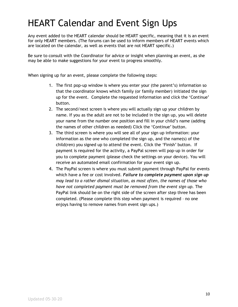## HEART Calendar and Event Sign Ups

Any event added to the HEART calendar should be HEART specific, meaning that it is an event for only HEART members. (The forums can be used to inform members of HEART events which are located on the calendar, as well as events that are not HEART specific.)

Be sure to consult with the Coordinator for advice or insight when planning an event, as she may be able to make suggestions for your event to progress smoothly.

When signing up for an event, please complete the following steps:

- 1. The first pop-up window is where you enter your (the parent's) information so that the coordinator knows which family (or family member) initiated the sign up for the event. Complete the requested information and click the 'Continue' button.
- 2. The second/next screen is where you will actually sign up your children by name. If you as the adult are not to be included in the sign up, you will delete your name from the number one position and fill in your child's name (adding the names of other children as needed) Click the 'Continue' button.
- 3. The third screen is where you will see all of your sign up information: your information as the one who completed the sign up, and the name(s) of the child(ren) you signed up to attend the event. Click the 'Finish' button. If payment is required for the activity, a PayPal screen will pop-up in order for you to complete payment (please check the settings on your device). You will receive an automated email confirmation for your event sign up.
- 4. The PayPal screen is where you must submit payment through PayPal for events which have a fee or cost involved. *Failure to complete payment upon sign up may lead to a rather dismal situation, as most often, the names of those who have not completed payment must be removed from the event sign up.* The PayPal link should be on the right side of the screen after step three has been completed. (Please complete this step when payment is required – no one enjoys having to remove names from event sign ups.)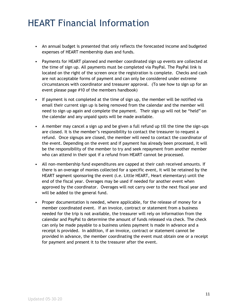## HEART Financial Information

- An annual budget is presented that only reflects the forecasted income and budgeted expenses of HEART membership dues and funds.
- Payments for HEART planned and member coordinated sign up events are collected at the time of sign up. All payments must be completed via PayPal. The PayPal link is located on the right of the screen once the registration is complete. Checks and cash are not acceptable forms of payment and can only be considered under extreme circumstances with coordinator and treasurer approval. (To see how to sign up for an event please page #10 of the members handbook)
- If payment is not completed at the time of sign up, the member will be notified via email their current sign up is being removed from the calendar and the member will need to sign up again and complete the payment. Their sign up will not be "held" on the calendar and any unpaid spots will be made available.
- A member may cancel a sign up and be given a full refund up till the time the sign-ups are closed. It is the member's responsibility to contact the treasurer to request a refund. Once signups are closed, the member will need to contact the coordinator of the event. Depending on the event and if payment has already been processed, it will be the responsibility of the member to try and seek repayment from another member who can attend in their spot if a refund from HEART cannot be processed.
- All non-membership fund expenditures are capped at their cash received amounts. If there is an overage of monies collected for a specific event, it will be retained by the HEART segment sponsoring the event (i.e. Little HEART, Heart elementary) until the end of the fiscal year. Overages may be used if needed for another event when approved by the coordinator. Overages will not carry over to the next fiscal year and will be added to the general fund.
- Proper documentation is needed, where applicable, for the release of money for a member coordinated event. If an invoice, contract or statement from a business needed for the trip is not available, the treasurer will rely on information from the calendar and PayPal to determine the amount of funds released via check. The check can only be made payable to a business unless payment is made in advance and a receipt is provided. In addition, if an invoice, contract or statement cannot be provided in advance, the member coordinating the event must obtain one or a receipt for payment and present it to the treasurer after the event.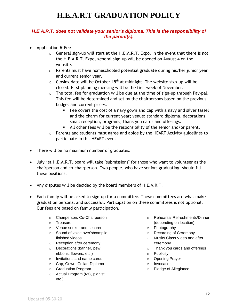## **H.E.A.R.T GRADUATION POLICY**

#### *H.E.A.R.T. does not validate your senior's diploma. This is the responsibility of the parent(s).*

- Application & Fee
	- $\circ$  General sign-up will start at the H.E.A.R.T. Expo. In the event that there is not the H.E.A.R.T. Expo, general sign-up will be opened on August 4 on the website.
	- o Parents must have homeschooled potential graduate during his/her junior year and current senior year.
	- $\circ$  Closing date will be October 15<sup>th</sup> at midnight. The website sign-up will be closed. First planning meeting will be the first week of November.
	- $\circ$  The total fee for graduation will be due at the time of sign-up through Pay-pal. This fee will be determined and set by the chairpersons based on the previous budget and current prices.
		- Fee covers the cost of a navy gown and cap with a navy and silver tassel and the charm for current year; venue; standard diploma, decorations, small reception, programs, thank you cards and offerings.
		- All other fees will be the responsibility of the senior and/or parent.
	- $\circ$  Parents and students must agree and abide by the HEART Activity guidelines to participate in this HEART event.
- There will be no maximum number of graduates.
- July 1st H.E.A.R.T. board will take "submissions" for those who want to volunteer as the chairperson and co-chairperson. Two people, who have seniors graduating, should fill these positions.
- Any disputes will be decided by the board members of H.E.A.R.T.
- Each family will be asked to sign-up for a committee. These committees are what make graduation personal and successful. Participation on these committees is not optional. Our fees are based on family participation.
	- o Chairperson, Co-Chairperson
	- o Treasurer
	- o Venue seeker and securer
	- o Sound of voice over's/compile finished videos
	- o Reception after ceremony
	- o Decorations (banner, pew ribbons, flowers, etc.)
	- o Invitations and name cards
	- o Cap, Gown, Collar, Diploma
	- o Graduation Program
	- o Actual Program (MC, pianist, etc.)
- o Rehearsal Refreshments/Dinner (depending on location)
- o Photography
- o Recording of Ceremony
- o Music/ Class Video and after ceremony
- o Thank you cards and offerings
- o Publicity
- o Opening Prayer
- o Invocation
- o Pledge of Allegiance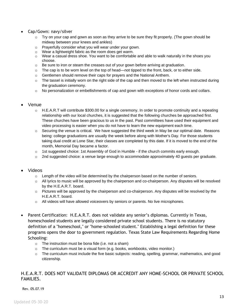- Cap/Gown: navy/silver
	- $\circ$  Try on your cap and gown as soon as they arrive to be sure they fit properly. (The gown should be midway between your knees and ankles)
	- o Prayerfully consider what you will wear under your gown.
	- o Wear a lightweight fabric as the room does get warm.
	- $\circ$  Wear a casual dress shoe. You want to be comfortable and able to walk naturally in the shoes you choose.
	- $\circ$  Be sure to iron or steam the creases out of your gown before arriving at graduation.
	- o The cap is to be worn level on the top of head—not tipped to the front, back, or to either side.
	- o Gentlemen should remove their caps for prayers and the National Anthem.
	- $\circ$  The tassel is initially worn on the right side of the cap and then moved to the left when instructed during the graduation ceremony.
	- $\circ$  No personalization or embellishments of cap and gown with exceptions of honor cords and collars.

#### • Venue

- $\circ$  H.E.A.R.T will contribute \$300.00 for a single ceremony. In order to promote continuity and a repeating relationship with our local churches, it is suggested that the following churches be approached first. These churches have been gracious to us in the past. Past committees have used their equipment and video processing is easier when you do not have to learn the new equipment each time.
- $\circ$  Securing the venue is critical. We have suggested the third week in May be our optimal date. Reasons being: college graduations are usually the week before along with Mother's Day. For those students taking dual credit at Lone Star, their classes are completed by this date. If it is moved to the end of the month, Memorial Day became a factor.
- $\circ$  1st suggested choice: 1st Assembly of God in Humble if the church commits early enough.
- $\circ$  2nd suggested choice: a venue large enough to accommodate approximately 40 guests per graduate.

#### • Videos

- $\circ$  Length of the video will be determined by the chairperson based on the number of seniors.
- o All lyrics to music will be approved by the chairperson and co-chairperson. Any disputes will be resolved by the H.E.A.R.T. board.
- $\circ$  Pictures will be approved by the chairperson and co-chairperson. Any disputes will be resolved by the H.E.A.R.T. board.
- $\circ$  All videos will have allowed voiceovers by seniors or parents. No live microphones.
- Parent Certification: H.E.A.R.T. does not validate any senior's diplomas. Currently in Texas, homeschooled students are legally considered private school students. There is no statutory definition of a "homeschool," or "home-schooled student." Establishing a legal definition for these programs opens the door to government regulation. Texas State Law Requirements Regarding Home Schooling:
	- $\circ$  The instruction must be bona fide (i.e. not a sham)
	- $\circ$  The curriculum must be a visual form (e.g. books, workbooks, video monitor.)
	- o The curriculum must include the five basic subjects: reading, spelling, grammar, mathematics, and good citizenship.

#### H.E.A.R.T. DOES NOT VALIDATE DIPLOMAS OR ACCREDIT ANY HOME-SCHOOL OR PRIVATE SCHOOL FAMILIES.

Rev. 05.07.19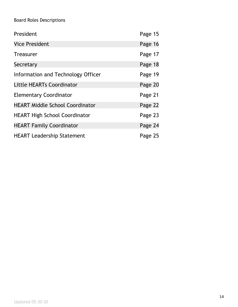### Board Roles Descriptions

| President                              | Page 15 |
|----------------------------------------|---------|
| <b>Vice President</b>                  | Page 16 |
| <b>Treasurer</b>                       | Page 17 |
| Secretary                              | Page 18 |
| Information and Technology Officer     | Page 19 |
| Little HEARTs Coordinator              | Page 20 |
| <b>Elementary Coordinator</b>          | Page 21 |
| <b>HEART Middle School Coordinator</b> | Page 22 |
| <b>HEART High School Coordinator</b>   | Page 23 |
| <b>HEART Family Coordinator</b>        | Page 24 |
| <b>HEART Leadership Statement</b>      | Page 25 |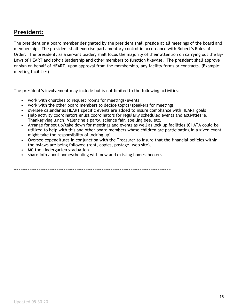## **President:**

The president or a board member designated by the president shall preside at all meetings of the board and membership. The president shall exercise parliamentary control in accordance with Robert's Rules of Order. The president, as a servant leader, shall focus the majority of their attention on carrying out the By-Laws of HEART and solicit leadership and other members to function likewise. The president shall approve or sign on behalf of HEART, upon approval from the membership, any facility forms or contracts. (Example: meeting facilities)

The president's involvement may include but is not limited to the following activities:

- work with churches to request rooms for meetings/events
- work with the other board members to decide topics/speakers for meetings
- oversee calendar as HEART specific events are added to insure compliance with HEART goals
- Help activity coordinators enlist coordinators for regularly scheduled events and activities ie. Thanksgiving lunch, Valentine's party, science fair, spelling bee, etc.
- Arrange for set up/take down for meetings and events as well as lock up facilities (CHATA could be utilized to help with this and other board members whose children are participating in a given event might take the responsibility of locking up)
- Oversee expenditures in conjunction with the Treasurer to insure that the financial policies within the bylaws are being followed (rent, copies, postage, web site).
- MC the kindergarten graduation
- share info about homeschooling with new and existing homeschoolers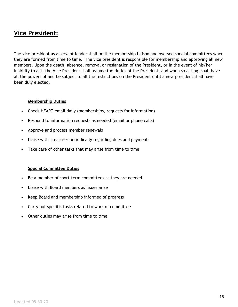### **Vice President:**

The vice president as a servant leader shall be the membership liaison and oversee special committees when they are formed from time to time. The vice president is responsible for membership and approving all new members. Upon the death, absence, removal or resignation of the President, or in the event of his/her inability to act, the Vice President shall assume the duties of the President, and when so acting, shall have all the powers of and be subject to all the restrictions on the President until a new president shall have been duly elected.

#### **Membership Duties**

- Check HEART email daily (memberships, requests for information)
- Respond to information requests as needed (email or phone calls)
- Approve and process member renewals
- Liaise with Treasurer periodically regarding dues and payments
- Take care of other tasks that may arise from time to time

#### **Special Committee Duties**

- Be a member of short-term committees as they are needed
- Liaise with Board members as issues arise
- Keep Board and membership informed of progress
- Carry out specific tasks related to work of committee
- Other duties may arise from time to time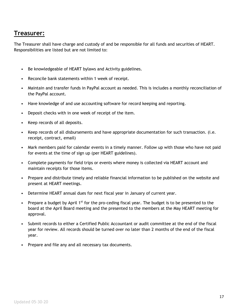### **Treasurer:**

The Treasurer shall have charge and custody of and be responsible for all funds and securities of HEART. Responsibilities are listed but are not limited to:

- Be knowledgeable of HEART bylaws and Activity guidelines.
- Reconcile bank statements within 1 week of receipt.
- Maintain and transfer funds in PayPal account as needed. This is includes a monthly reconciliation of the PayPal account.
- Have knowledge of and use accounting software for record keeping and reporting.
- Deposit checks with in one week of receipt of the item.
- Keep records of all deposits.
- Keep records of all disbursements and have appropriate documentation for such transaction. (i.e. receipt, contract, email)
- Mark members paid for calendar events in a timely manner. Follow up with those who have not paid for events at the time of sign up (per HEART guidelines).
- Complete payments for field trips or events where money is collected via HEART account and maintain receipts for those items.
- Prepare and distribute timely and reliable financial information to be published on the website and present at HEART meetings.
- Determine HEART annual dues for next fiscal year in January of current year.
- Prepare a budget by April  $1<sup>st</sup>$  for the pro-ceding fiscal year. The budget is to be presented to the board at the April Board meeting and the presented to the members at the May HEART meeting for approval.
- Submit records to either a Certified Public Accountant or audit committee at the end of the fiscal year for review. All records should be turned over no later than 2 months of the end of the fiscal year.
- Prepare and file any and all necessary tax documents.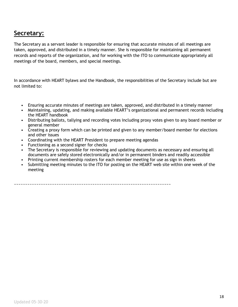### **Secretary:**

The Secretary as a servant leader is responsible for ensuring that accurate minutes of all meetings are taken, approved, and distributed in a timely manner. She is responsible for maintaining all permanent records and reports of the organization, and for working with the ITO to communicate appropriately all meetings of the board, members, and special meetings.

In accordance with HEART bylaws and the Handbook, the responsibilities of the Secretary include but are not limited to:

- Ensuring accurate minutes of meetings are taken, approved, and distributed in a timely manner
- Maintaining, updating, and making available HEART's organizational and permanent records including the HEART handbook
- Distributing ballots, tallying and recording votes including proxy votes given to any board member or general member
- Creating a proxy form which can be printed and given to any member/board member for elections and other issues
- Coordinating with the HEART President to prepare meeting agendas
- Functioning as a second signer for checks
- The Secretary is responsible for reviewing and updating documents as necessary and ensuring all documents are safely stored electronically and/or in permanent binders and readily accessible
- Printing current membership rosters for each member meeting for use as sign in sheets
- Submitting meeting minutes to the ITO for posting on the HEART web site within one week of the meeting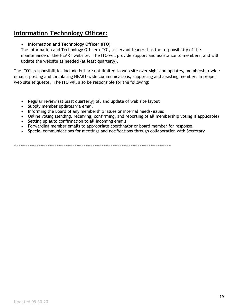## **Information Technology Officer:**

#### • **Information and Technology Officer (ITO)**

The Information and Technology Officer (ITO), as servant leader, has the responsibility of the maintenance of the HEART website. The ITO will provide support and assistance to members, and will update the website as needed (at least quarterly).

The ITO's responsibilities include but are not limited to web site over sight and updates, membership-wide emails; posting and circulating HEART-wide communications, supporting and assisting members in proper web site etiquette. The ITO will also be responsible for the following:

- Regular review (at least quarterly) of, and update of web site layout
- Supply member updates via email
- Informing the Board of any membership issues or internal needs/issues
- Online voting (sending, receiving, confirming, and reporting of all membership voting if applicable)
- Setting up auto confirmation to all incoming emails
- Forwarding member emails to appropriate coordinator or board member for response.
- Special communications for meetings and notifications through collaboration with Secretary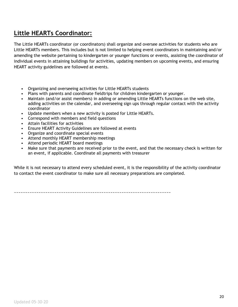## **Little HEARTs Coordinator:**

The Little HEARTs coordinator (or coordinators) shall organize and oversee activities for students who are Little HEARTs members. This includes but is not limited to helping event coordinators in maintaining and/or amending the website pertaining to kindergarten or younger functions or events, assisting the coordinator of individual events in attaining buildings for activities, updating members on upcoming events, and ensuring HEART activity guidelines are followed at events.

- Organizing and overseeing activities for Little HEARTs students
- Plans with parents and coordinate fieldtrips for children kindergarten or younger.
- Maintain (and/or assist members) in adding or amending Little HEARTs functions on the web site, adding activities on the calendar, and overseeing sign ups through regular contact with the activity coordinator
- Update members when a new activity is posted for Little HEARTs.
- Correspond with members and field questions
- Attain facilities for activities
- Ensure HEART Activity Guidelines are followed at events
- Organize and coordinate special events
- Attend monthly HEART membership meetings
- Attend periodic HEART board meetings
- Make sure that payments are received prior to the event, and that the necessary check is written for an event, if applicable. Coordinate all payments with treasurer

While it is not necessary to attend every scheduled event, it is the responsibility of the activity coordinator to contact the event coordinator to make sure all necessary preparations are completed.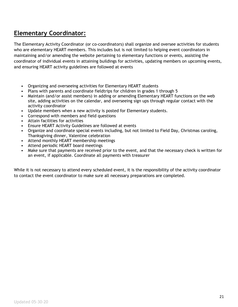## **Elementary Coordinator:**

The Elementary Activity Coordinator (or co-coordinators) shall organize and oversee activities for students who are elementary HEART members. This includes but is not limited to helping event coordinators in maintaining and/or amending the website pertaining to elementary functions or events, assisting the coordinator of individual events in attaining buildings for activities, updating members on upcoming events, and ensuring HEART activity guidelines are followed at events

- Organizing and overseeing activities for Elementary HEART students
- Plans with parents and coordinate fieldtrips for children in grades 1 through 5
- Maintain (and/or assist members) in adding or amending Elementary HEART functions on the web site, adding activities on the calendar, and overseeing sign ups through regular contact with the activity coordinator
- Update members when a new activity is posted for Elementary students.
- Correspond with members and field questions
- Attain facilities for activities
- Ensure HEART Activity Guidelines are followed at events
- Organize and coordinate special events including, but not limited to Field Day, Christmas caroling, Thanksgiving dinner, Valentine celebration
- Attend monthly HEART membership meetings
- Attend periodic HEART board meetings
- Make sure that payments are received prior to the event, and that the necessary check is written for an event, if applicable. Coordinate all payments with treasurer

While it is not necessary to attend every scheduled event, it is the responsibility of the activity coordinator to contact the event coordinator to make sure all necessary preparations are completed.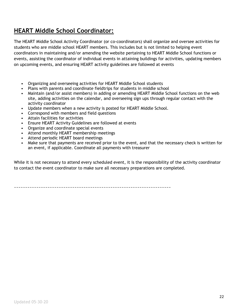## **HEART Middle School Coordinator:**

The HEART Middle School Activity Coordinator (or co-coordinators) shall organize and oversee activities for students who are middle school HEART members. This includes but is not limited to helping event coordinators in maintaining and/or amending the website pertaining to HEART Middle School functions or events, assisting the coordinator of individual events in attaining buildings for activities, updating members on upcoming events, and ensuring HEART activity guidelines are followed at events

- Organizing and overseeing activities for HEART Middle School students
- Plans with parents and coordinate fieldtrips for students in middle school
- Maintain (and/or assist members) in adding or amending HEART Middle School functions on the web site, adding activities on the calendar, and overseeing sign ups through regular contact with the activity coordinator
- Update members when a new activity is posted for HEART Middle School.
- Correspond with members and field questions
- Attain facilities for activities
- Ensure HEART Activity Guidelines are followed at events
- Organize and coordinate special events
- Attend monthly HEART membership meetings
- Attend periodic HEART board meetings
- Make sure that payments are received prior to the event, and that the necessary check is written for an event, if applicable. Coordinate all payments with treasurer

While it is not necessary to attend every scheduled event, it is the responsibility of the activity coordinator to contact the event coordinator to make sure all necessary preparations are completed.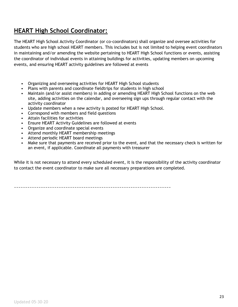## **HEART High School Coordinator:**

The HEART High School Activity Coordinator (or co-coordinators) shall organize and oversee activities for students who are high school HEART members. This includes but is not limited to helping event coordinators in maintaining and/or amending the website pertaining to HEART High School functions or events, assisting the coordinator of individual events in attaining buildings for activities, updating members on upcoming events, and ensuring HEART activity guidelines are followed at events

- Organizing and overseeing activities for HEART High School students
- Plans with parents and coordinate fieldtrips for students in high school
- Maintain (and/or assist members) in adding or amending HEART High School functions on the web site, adding activities on the calendar, and overseeing sign ups through regular contact with the activity coordinator
- Update members when a new activity is posted for HEART High School.
- Correspond with members and field questions
- Attain facilities for activities
- Ensure HEART Activity Guidelines are followed at events
- Organize and coordinate special events
- Attend monthly HEART membership meetings
- Attend periodic HEART board meetings
- Make sure that payments are received prior to the event, and that the necessary check is written for an event, if applicable. Coordinate all payments with treasurer

While it is not necessary to attend every scheduled event, it is the responsibility of the activity coordinator to contact the event coordinator to make sure all necessary preparations are completed.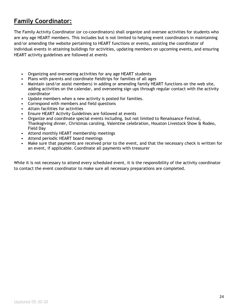## **Family Coordinator:**

The Family Activity Coordinator (or co-coordinators) shall organize and oversee activities for students who are any age HEART members. This includes but is not limited to helping event coordinators in maintaining and/or amending the website pertaining to HEART functions or events, assisting the coordinator of individual events in attaining buildings for activities, updating members on upcoming events, and ensuring HEART activity guidelines are followed at events

- Organizing and overseeing activities for any age HEART students
- Plans with parents and coordinate fieldtrips for families of all ages
- Maintain (and/or assist members) in adding or amending family HEART functions on the web site, adding activities on the calendar, and overseeing sign ups through regular contact with the activity coordinator
- Update members when a new activity is posted for families.
- Correspond with members and field questions
- Attain facilities for activities
- Ensure HEART Activity Guidelines are followed at events
- Organize and coordinate special events including, but not limited to Renaissance Festival, Thanksgiving dinner, Christmas caroling, Valentine celebration, Houston Livestock Show & Rodeo, Field Day
- Attend monthly HEART membership meetings
- Attend periodic HEART board meetings
- Make sure that payments are received prior to the event, and that the necessary check is written for an event, if applicable. Coordinate all payments with treasurer

While it is not necessary to attend every scheduled event, it is the responsibility of the activity coordinator to contact the event coordinator to make sure all necessary preparations are completed.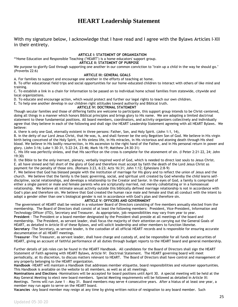### **HEART Leadership Statement**

With my signature below, I acknowledge that I have read and I agree with the Bylaws Articles I-XII in their entirety.

#### **ARTICLE I: STATEMENT OF ORGANIZATION**

\*\*Home Education and Responsible Teaching ("HEART") is a home educators' support group. **ARTICLE II: STATEMENT OF PURPOSE**

We purpose to glorify God through supporting one another in our common conviction to "train up a child in the way he should go." (Proverbs 22:6)

#### **ARTICLE III: GENERAL GOALS**

A. For families to support and encourage one another in the efforts of teaching at home.

B. To offer educational field trips and social opportunities for our home-educated children to interact with others of like mind and training.

C. To establish a link in a chain for information to be passed on to individual home school families from statewide, citywide and local organizations.

D. To educate and encourage action, which would protect and further our legal rights to teach our own children.

E. To help one another develop in our children right attitudes toward authority and Biblical truth.

#### **ARTICLE IV: DOCTRINAL STATEMENT**

Though secular families and those of differing faiths are welcome to participate, this support group intends to be Christ-centered, doing all things in a manner which honors Biblical principles and brings glory to His name. We are adopting a limited doctrinal statement to these fundamental positions. All board members, coordinators, and activity organizers collectively and individually agree that they believe in each of the following and shall sign the HEART Leadership Statement agreeing with all HEART Bylaws. We believe:

A. there is only one God, eternally existent in three persons: Father, Son, and Holy Spirit. (John 1:1, 14),

B. in the deity of our Lord Jesus Christ, that He was, is, and shall forever be the only Begotten Son of God. We believe in His virgin birth being conceived of the Holy Spirit, in His sinless life, in His miracles, in His victorious and atoning death through His shed blood. We believe in His bodily resurrection, in His ascension to the right hand of the Father, and in His personal return in power and glory. (John 3:16; Luke 1:30-31, 5:22-24, 23:46; Mark 16:19; Matthew 24:30-31)

C. His life was perfectly sinless, and that His sacrifice on the cross is complete for the atonement of sin. (I Peter 2:21-22, 24; John 19:30)

D. the Bible to be the only inerrant, plenary, verbally inspired word of God, which is needed to direct lost souls to Jesus Christ. E. all have sinned and fall short of the glory of God and therefore must accept by faith the death of the Lord Jesus Christ as payment for the penalty of those sins. (Romans 3:23, 6:23; Acts 16:31; John 1:12; Ephesians 2:8-9)

F. We believe that God has blessed people with the institution of marriage for His glory and to reflect the union of Jesus and the church. We believe that the family is the basic governing, social, and spiritual unit created by God whereby the child learns selfdiscipline, social relationships, and develops a relationship to the Creator and Savior. In the eyes of God, a family is comprised of either a single parent or male and female parents who are scripturally married, not merely cohabitating or in a homosexual relationship. We believe all intimate sexual activity outside this biblically defined marriage relationship is not in accordance with God's plan and therefore sin. We believe that God created the human race male and female and that all conduct with the intent to adopt a gender other than one's biological gender is not in accordance with God's plan and therefore sin.

#### **ARTICLE V: OFFICERS AND GOVERNMENT**

The government of HEART shall be vested in a volunteer Board of Directors consisting of five members annually elected from the membership. The Board of Directors shall consist of at least the following members: President, Vice-President, Information and Technology Officer (ITO), Secretary and Treasurer. As appropriate, job responsibilities may vary from year to year. **President** - The President or a board member designated by the President shall preside at all meetings of the board and membership. The President, as servant leader, shall focus the majority of their attention on carrying out the General Goals of HEART, as detailed in Article III of these Bylaws, and will solicit leadership and other members to function likewise. **Secretary** -The Secretary, as servant leader, is the custodian of all official HEART records and is responsible for ensuring accurate documentation of all HEART meetings.

**Treasurer** -The Treasurer, as servant leader, shall have charge and custody of, and be responsible for all funds and securities of HEART, giving an account of faithful performance of all duties through budget reports to the HEART board and general membership.

Further details of job roles can be found in the HEART Handbook. All candidates for the Board of Directors shall sign the HEART Statement of Faith agreeing with HEART Bylaws, Article IV: Doctrinal Statement. The HEART governing board will meet periodically, at its discretion, to discuss matters relevant to HEART. The Board of Directors shall have control and management of any property belonging to the HEART organization.

**Handbook** -HEART will maintain a Handbook that addresses member etiquette, board responsibilities and volunteer opportunities. This Handbook is available on the website to all members, as well as at all meetings.

**Nominations and Elections** -Nominations will be accepted for board positions until April 30. A special meeting will be held at the May General Meeting to elect new board members. Special Meeting requirements will be followed as detailed in Article IX:

Meetings. Terms will run June 1 – May 31. Board members may serve 4 consecutive years. After a hiatus of at least one year, a member may run again to serve on the HEART board.

**Vacancies** -Any board member may resign at any time by giving written notice of resignation to any board member. Such